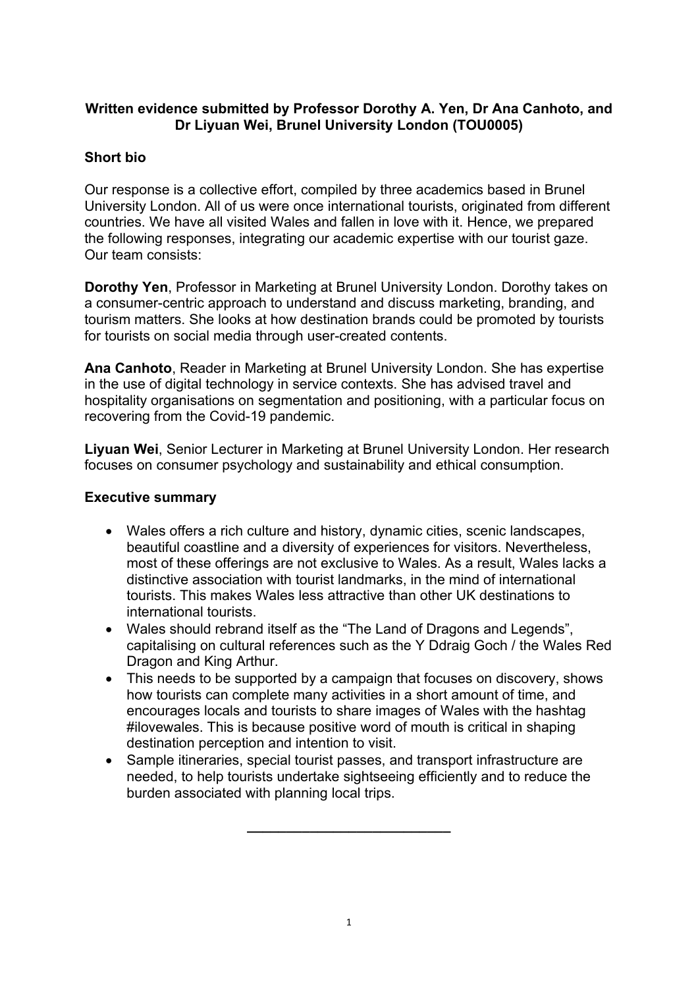## **Written evidence submitted by Professor Dorothy A. Yen, Dr Ana Canhoto, and Dr Liyuan Wei, Brunel University London (TOU0005)**

# **Short bio**

Our response is a collective effort, compiled by three academics based in Brunel University London. All of us were once international tourists, originated from different countries. We have all visited Wales and fallen in love with it. Hence, we prepared the following responses, integrating our academic expertise with our tourist gaze. Our team consists:

**Dorothy Yen**, Professor in Marketing at Brunel University London. Dorothy takes on a consumer-centric approach to understand and discuss marketing, branding, and tourism matters. She looks at how destination brands could be promoted by tourists for tourists on social media through user-created contents.

**Ana Canhoto**, Reader in Marketing at Brunel University London. She has expertise in the use of digital technology in service contexts. She has advised travel and hospitality organisations on segmentation and positioning, with a particular focus on recovering from the Covid-19 pandemic.

**Liyuan Wei**, Senior Lecturer in Marketing at Brunel University London. Her research focuses on consumer psychology and sustainability and ethical consumption.

## **Executive summary**

- Wales offers a rich culture and history, dynamic cities, scenic landscapes, beautiful coastline and a diversity of experiences for visitors. Nevertheless, most of these offerings are not exclusive to Wales. As a result, Wales lacks a distinctive association with tourist landmarks, in the mind of international tourists. This makes Wales less attractive than other UK destinations to international tourists.
- Wales should rebrand itself as the "The Land of Dragons and Legends", capitalising on cultural references such as the Y Ddraig Goch / the Wales Red Dragon and King Arthur.
- This needs to be supported by a campaign that focuses on discovery, shows how tourists can complete many activities in a short amount of time, and encourages locals and tourists to share images of Wales with the hashtag #ilovewales. This is because positive word of mouth is critical in shaping destination perception and intention to visit.
- Sample itineraries, special tourist passes, and transport infrastructure are needed, to help tourists undertake sightseeing efficiently and to reduce the burden associated with planning local trips.

**\_\_\_\_\_\_\_\_\_\_\_\_\_\_\_\_\_\_\_\_\_\_\_\_\_\_**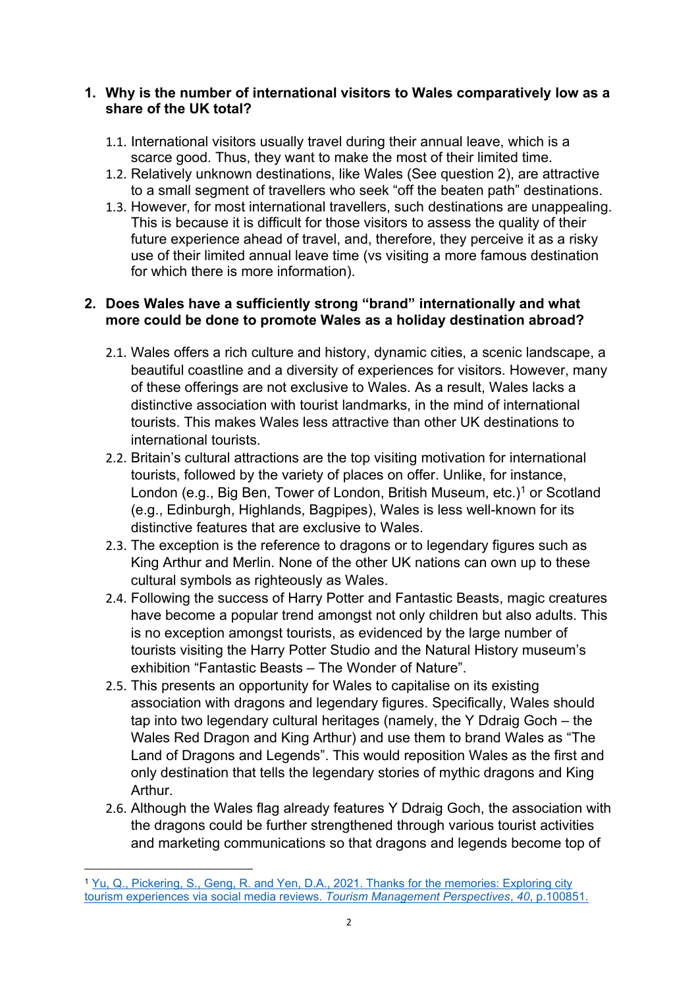#### **1. Why is the number of international visitors to Wales comparatively low as a share of the UK total?**

- 1.1. International visitors usually travel during their annual leave, which is a scarce good. Thus, they want to make the most of their limited time.
- 1.2. Relatively unknown destinations, like Wales (See question 2), are attractive to a small segment of travellers who seek "off the beaten path" destinations.
- 1.3. However, for most international travellers, such destinations are unappealing. This is because it is difficult for those visitors to assess the quality of their future experience ahead of travel, and, therefore, they perceive it as a risky use of their limited annual leave time (vs visiting a more famous destination for which there is more information).

### **2. Does Wales have a sufficiently strong "brand" internationally and what more could be done to promote Wales as a holiday destination abroad?**

- 2.1. Wales offers a rich culture and history, dynamic cities, a scenic landscape, a beautiful coastline and a diversity of experiences for visitors. However, many of these offerings are not exclusive to Wales. As a result, Wales lacks a distinctive association with tourist landmarks, in the mind of international tourists. This makes Wales less attractive than other UK destinations to international tourists.
- 2.2. Britain's cultural attractions are the top visiting motivation for international tourists, followed by the variety of places on offer. Unlike, for instance, London (e.g., Big Ben, Tower of London, British Museum, etc.)<sup>1</sup> or Scotland (e.g., Edinburgh, Highlands, Bagpipes), Wales is less well-known for its distinctive features that are exclusive to Wales.
- 2.3. The exception is the reference to dragons or to legendary figures such as King Arthur and Merlin. None of the other UK nations can own up to these cultural symbols as righteously as Wales.
- 2.4. Following the success of Harry Potter and Fantastic Beasts, magic creatures have become a popular trend amongst not only children but also adults. This is no exception amongst tourists, as evidenced by the large number of tourists visiting the Harry Potter Studio and the Natural History museum's exhibition "Fantastic Beasts – The Wonder of Nature".
- 2.5. This presents an opportunity for Wales to capitalise on its existing association with dragons and legendary figures. Specifically, Wales should tap into two legendary cultural heritages (namely, the Y Ddraig Goch – the Wales Red Dragon and King Arthur) and use them to brand Wales as "The Land of Dragons and Legends". This would reposition Wales as the first and only destination that tells the legendary stories of mythic dragons and King Arthur.
- 2.6. Although the Wales flag already features Y Ddraig Goch, the association with the dragons could be further strengthened through various tourist activities and marketing communications so that dragons and legends become top of

<sup>&</sup>lt;sup>1</sup> [Yu,](https://www.sciencedirect.com/science/article/abs/pii/S2211973621000647) [Q.,](https://www.sciencedirect.com/science/article/abs/pii/S2211973621000647) [Pickering,](https://www.sciencedirect.com/science/article/abs/pii/S2211973621000647) [S.,](https://www.sciencedirect.com/science/article/abs/pii/S2211973621000647) [Geng,](https://www.sciencedirect.com/science/article/abs/pii/S2211973621000647) [R.](https://www.sciencedirect.com/science/article/abs/pii/S2211973621000647) [and](https://www.sciencedirect.com/science/article/abs/pii/S2211973621000647) [Yen,](https://www.sciencedirect.com/science/article/abs/pii/S2211973621000647) [D.A.,](https://www.sciencedirect.com/science/article/abs/pii/S2211973621000647) [2021.](https://www.sciencedirect.com/science/article/abs/pii/S2211973621000647) [Thanks](https://www.sciencedirect.com/science/article/abs/pii/S2211973621000647) [for](https://www.sciencedirect.com/science/article/abs/pii/S2211973621000647) [the](https://www.sciencedirect.com/science/article/abs/pii/S2211973621000647) [memories:](https://www.sciencedirect.com/science/article/abs/pii/S2211973621000647) [Exploring](https://www.sciencedirect.com/science/article/abs/pii/S2211973621000647) [city](https://www.sciencedirect.com/science/article/abs/pii/S2211973621000647) [tourism](https://www.sciencedirect.com/science/article/abs/pii/S2211973621000647) [experiences](https://www.sciencedirect.com/science/article/abs/pii/S2211973621000647) [via](https://www.sciencedirect.com/science/article/abs/pii/S2211973621000647) [social](https://www.sciencedirect.com/science/article/abs/pii/S2211973621000647) [media](https://www.sciencedirect.com/science/article/abs/pii/S2211973621000647) [reviews.](https://www.sciencedirect.com/science/article/abs/pii/S2211973621000647) *[Tourism](https://www.sciencedirect.com/science/article/abs/pii/S2211973621000647) [Management](https://www.sciencedirect.com/science/article/abs/pii/S2211973621000647) [Perspectives](https://www.sciencedirect.com/science/article/abs/pii/S2211973621000647)*[,](https://www.sciencedirect.com/science/article/abs/pii/S2211973621000647) *[40](https://www.sciencedirect.com/science/article/abs/pii/S2211973621000647)*[,](https://www.sciencedirect.com/science/article/abs/pii/S2211973621000647) [p.100851.](https://www.sciencedirect.com/science/article/abs/pii/S2211973621000647)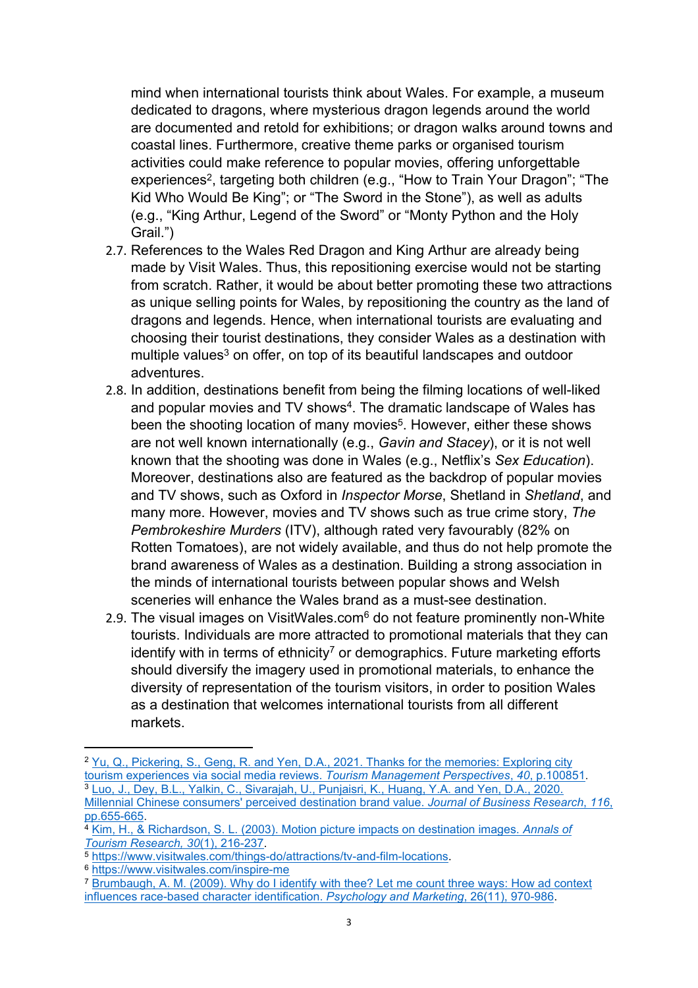mind when international tourists think about Wales. For example, a museum dedicated to dragons, where mysterious dragon legends around the world are documented and retold for exhibitions; or dragon walks around towns and coastal lines. Furthermore, creative theme parks or organised tourism activities could make reference to popular movies, offering unforgettable experiences<sup>2</sup>, targeting both children (e.g., "How to Train Your Dragon"; "The Kid Who Would Be King"; or "The Sword in the Stone"), as well as adults (e.g., "King Arthur, Legend of the Sword" or "Monty Python and the Holy Grail.")

- 2.7. References to the Wales Red Dragon and King Arthur are already being made by Visit Wales. Thus, this repositioning exercise would not be starting from scratch. Rather, it would be about better promoting these two attractions as unique selling points for Wales, by repositioning the country as the land of dragons and legends. Hence, when international tourists are evaluating and choosing their tourist destinations, they consider Wales as a destination with multiple values<sup>3</sup> on offer, on top of its beautiful landscapes and outdoor adventures.
- 2.8. In addition, destinations benefit from being the filming locations of well-liked and popular movies and TV shows<sup>4</sup>. The dramatic landscape of Wales has been the shooting location of many movies<sup>5</sup>. However, either these shows are not well known internationally (e.g., *Gavin and Stacey*), or it is not well known that the shooting was done in Wales (e.g., Netflix's *Sex Education*). Moreover, destinations also are featured as the backdrop of popular movies and TV shows, such as Oxford in *Inspector Morse*, Shetland in *Shetland*, and many more. However, movies and TV shows such as true crime story, *The Pembrokeshire Murders* (ITV), although rated very favourably (82% on Rotten Tomatoes), are not widely available, and thus do not help promote the brand awareness of Wales as a destination. Building a strong association in the minds of international tourists between popular shows and Welsh sceneries will enhance the Wales brand as a must-see destination.
- 2.9. The visual images on VisitWales.com<sup>6</sup> do not feature prominently non-White tourists. Individuals are more attracted to promotional materials that they can identify with in terms of ethnicity<sup>7</sup> or demographics. Future marketing efforts should diversify the imagery used in promotional materials, to enhance the diversity of representation of the tourism visitors, in order to position Wales as a destination that welcomes international tourists from all different markets.

<sup>&</sup>lt;sup>2</sup> [Yu,](https://www.sciencedirect.com/science/article/pii/S2211973621000647?casa_token=g2SlzTs4G5cAAAAA:ASwo2OLMqVu-L42fUrQwFXGWeRZXGAMYRyaRLYg_8Na3mW8v9zioU0IQFlRPDzlFEVMPVyOZ) [Q.,](https://www.sciencedirect.com/science/article/pii/S2211973621000647?casa_token=g2SlzTs4G5cAAAAA:ASwo2OLMqVu-L42fUrQwFXGWeRZXGAMYRyaRLYg_8Na3mW8v9zioU0IQFlRPDzlFEVMPVyOZ) [Pickering,](https://www.sciencedirect.com/science/article/pii/S2211973621000647?casa_token=g2SlzTs4G5cAAAAA:ASwo2OLMqVu-L42fUrQwFXGWeRZXGAMYRyaRLYg_8Na3mW8v9zioU0IQFlRPDzlFEVMPVyOZ) [S.,](https://www.sciencedirect.com/science/article/pii/S2211973621000647?casa_token=g2SlzTs4G5cAAAAA:ASwo2OLMqVu-L42fUrQwFXGWeRZXGAMYRyaRLYg_8Na3mW8v9zioU0IQFlRPDzlFEVMPVyOZ) [Geng,](https://www.sciencedirect.com/science/article/pii/S2211973621000647?casa_token=g2SlzTs4G5cAAAAA:ASwo2OLMqVu-L42fUrQwFXGWeRZXGAMYRyaRLYg_8Na3mW8v9zioU0IQFlRPDzlFEVMPVyOZ) [R.](https://www.sciencedirect.com/science/article/pii/S2211973621000647?casa_token=g2SlzTs4G5cAAAAA:ASwo2OLMqVu-L42fUrQwFXGWeRZXGAMYRyaRLYg_8Na3mW8v9zioU0IQFlRPDzlFEVMPVyOZ) [and](https://www.sciencedirect.com/science/article/pii/S2211973621000647?casa_token=g2SlzTs4G5cAAAAA:ASwo2OLMqVu-L42fUrQwFXGWeRZXGAMYRyaRLYg_8Na3mW8v9zioU0IQFlRPDzlFEVMPVyOZ) [Yen,](https://www.sciencedirect.com/science/article/pii/S2211973621000647?casa_token=g2SlzTs4G5cAAAAA:ASwo2OLMqVu-L42fUrQwFXGWeRZXGAMYRyaRLYg_8Na3mW8v9zioU0IQFlRPDzlFEVMPVyOZ) [D.A.,](https://www.sciencedirect.com/science/article/pii/S2211973621000647?casa_token=g2SlzTs4G5cAAAAA:ASwo2OLMqVu-L42fUrQwFXGWeRZXGAMYRyaRLYg_8Na3mW8v9zioU0IQFlRPDzlFEVMPVyOZ) [2021.](https://www.sciencedirect.com/science/article/pii/S2211973621000647?casa_token=g2SlzTs4G5cAAAAA:ASwo2OLMqVu-L42fUrQwFXGWeRZXGAMYRyaRLYg_8Na3mW8v9zioU0IQFlRPDzlFEVMPVyOZ) [Thanks](https://www.sciencedirect.com/science/article/pii/S2211973621000647?casa_token=g2SlzTs4G5cAAAAA:ASwo2OLMqVu-L42fUrQwFXGWeRZXGAMYRyaRLYg_8Na3mW8v9zioU0IQFlRPDzlFEVMPVyOZ) [for](https://www.sciencedirect.com/science/article/pii/S2211973621000647?casa_token=g2SlzTs4G5cAAAAA:ASwo2OLMqVu-L42fUrQwFXGWeRZXGAMYRyaRLYg_8Na3mW8v9zioU0IQFlRPDzlFEVMPVyOZ) [the](https://www.sciencedirect.com/science/article/pii/S2211973621000647?casa_token=g2SlzTs4G5cAAAAA:ASwo2OLMqVu-L42fUrQwFXGWeRZXGAMYRyaRLYg_8Na3mW8v9zioU0IQFlRPDzlFEVMPVyOZ) [memories:](https://www.sciencedirect.com/science/article/pii/S2211973621000647?casa_token=g2SlzTs4G5cAAAAA:ASwo2OLMqVu-L42fUrQwFXGWeRZXGAMYRyaRLYg_8Na3mW8v9zioU0IQFlRPDzlFEVMPVyOZ) [Exploring](https://www.sciencedirect.com/science/article/pii/S2211973621000647?casa_token=g2SlzTs4G5cAAAAA:ASwo2OLMqVu-L42fUrQwFXGWeRZXGAMYRyaRLYg_8Na3mW8v9zioU0IQFlRPDzlFEVMPVyOZ) [city](https://www.sciencedirect.com/science/article/pii/S2211973621000647?casa_token=g2SlzTs4G5cAAAAA:ASwo2OLMqVu-L42fUrQwFXGWeRZXGAMYRyaRLYg_8Na3mW8v9zioU0IQFlRPDzlFEVMPVyOZ) [tourism](https://www.sciencedirect.com/science/article/pii/S2211973621000647?casa_token=g2SlzTs4G5cAAAAA:ASwo2OLMqVu-L42fUrQwFXGWeRZXGAMYRyaRLYg_8Na3mW8v9zioU0IQFlRPDzlFEVMPVyOZ) [experiences](https://www.sciencedirect.com/science/article/pii/S2211973621000647?casa_token=g2SlzTs4G5cAAAAA:ASwo2OLMqVu-L42fUrQwFXGWeRZXGAMYRyaRLYg_8Na3mW8v9zioU0IQFlRPDzlFEVMPVyOZ) [via](https://www.sciencedirect.com/science/article/pii/S2211973621000647?casa_token=g2SlzTs4G5cAAAAA:ASwo2OLMqVu-L42fUrQwFXGWeRZXGAMYRyaRLYg_8Na3mW8v9zioU0IQFlRPDzlFEVMPVyOZ) [social](https://www.sciencedirect.com/science/article/pii/S2211973621000647?casa_token=g2SlzTs4G5cAAAAA:ASwo2OLMqVu-L42fUrQwFXGWeRZXGAMYRyaRLYg_8Na3mW8v9zioU0IQFlRPDzlFEVMPVyOZ) [media](https://www.sciencedirect.com/science/article/pii/S2211973621000647?casa_token=g2SlzTs4G5cAAAAA:ASwo2OLMqVu-L42fUrQwFXGWeRZXGAMYRyaRLYg_8Na3mW8v9zioU0IQFlRPDzlFEVMPVyOZ) [reviews.](https://www.sciencedirect.com/science/article/pii/S2211973621000647?casa_token=g2SlzTs4G5cAAAAA:ASwo2OLMqVu-L42fUrQwFXGWeRZXGAMYRyaRLYg_8Na3mW8v9zioU0IQFlRPDzlFEVMPVyOZ) *[Tourism](https://www.sciencedirect.com/science/article/pii/S2211973621000647?casa_token=g2SlzTs4G5cAAAAA:ASwo2OLMqVu-L42fUrQwFXGWeRZXGAMYRyaRLYg_8Na3mW8v9zioU0IQFlRPDzlFEVMPVyOZ) [Management](https://www.sciencedirect.com/science/article/pii/S2211973621000647?casa_token=g2SlzTs4G5cAAAAA:ASwo2OLMqVu-L42fUrQwFXGWeRZXGAMYRyaRLYg_8Na3mW8v9zioU0IQFlRPDzlFEVMPVyOZ) [Perspectives](https://www.sciencedirect.com/science/article/pii/S2211973621000647?casa_token=g2SlzTs4G5cAAAAA:ASwo2OLMqVu-L42fUrQwFXGWeRZXGAMYRyaRLYg_8Na3mW8v9zioU0IQFlRPDzlFEVMPVyOZ)*[,](https://www.sciencedirect.com/science/article/pii/S2211973621000647?casa_token=g2SlzTs4G5cAAAAA:ASwo2OLMqVu-L42fUrQwFXGWeRZXGAMYRyaRLYg_8Na3mW8v9zioU0IQFlRPDzlFEVMPVyOZ) *[40](https://www.sciencedirect.com/science/article/pii/S2211973621000647?casa_token=g2SlzTs4G5cAAAAA:ASwo2OLMqVu-L42fUrQwFXGWeRZXGAMYRyaRLYg_8Na3mW8v9zioU0IQFlRPDzlFEVMPVyOZ)*[,](https://www.sciencedirect.com/science/article/pii/S2211973621000647?casa_token=g2SlzTs4G5cAAAAA:ASwo2OLMqVu-L42fUrQwFXGWeRZXGAMYRyaRLYg_8Na3mW8v9zioU0IQFlRPDzlFEVMPVyOZ) [p.100851.](https://www.sciencedirect.com/science/article/pii/S2211973621000647?casa_token=g2SlzTs4G5cAAAAA:ASwo2OLMqVu-L42fUrQwFXGWeRZXGAMYRyaRLYg_8Na3mW8v9zioU0IQFlRPDzlFEVMPVyOZ) <sup>3</sup> [Luo,](https://www.sciencedirect.com/science/article/pii/S0148296318303023) [J.,](https://www.sciencedirect.com/science/article/pii/S0148296318303023) [Dey,](https://www.sciencedirect.com/science/article/pii/S0148296318303023) [B.L.,](https://www.sciencedirect.com/science/article/pii/S0148296318303023) [Yalkin,](https://www.sciencedirect.com/science/article/pii/S0148296318303023) [C.,](https://www.sciencedirect.com/science/article/pii/S0148296318303023) [Sivarajah,](https://www.sciencedirect.com/science/article/pii/S0148296318303023) [U.,](https://www.sciencedirect.com/science/article/pii/S0148296318303023) [Punjaisri,](https://www.sciencedirect.com/science/article/pii/S0148296318303023) [K.,](https://www.sciencedirect.com/science/article/pii/S0148296318303023) [Huang,](https://www.sciencedirect.com/science/article/pii/S0148296318303023) [Y.A.](https://www.sciencedirect.com/science/article/pii/S0148296318303023) [and](https://www.sciencedirect.com/science/article/pii/S0148296318303023) [Yen,](https://www.sciencedirect.com/science/article/pii/S0148296318303023) [D.A.,](https://www.sciencedirect.com/science/article/pii/S0148296318303023) [2020.](https://www.sciencedirect.com/science/article/pii/S0148296318303023) [Millennial](https://www.sciencedirect.com/science/article/pii/S0148296318303023) [Chinese](https://www.sciencedirect.com/science/article/pii/S0148296318303023) [consumers'](https://www.sciencedirect.com/science/article/pii/S0148296318303023) [perceived](https://www.sciencedirect.com/science/article/pii/S0148296318303023) [destination](https://www.sciencedirect.com/science/article/pii/S0148296318303023) [brand](https://www.sciencedirect.com/science/article/pii/S0148296318303023) [value.](https://www.sciencedirect.com/science/article/pii/S0148296318303023) *[Journal](https://www.sciencedirect.com/science/article/pii/S0148296318303023) [of](https://www.sciencedirect.com/science/article/pii/S0148296318303023) [Business](https://www.sciencedirect.com/science/article/pii/S0148296318303023) [Research](https://www.sciencedirect.com/science/article/pii/S0148296318303023)*[,](https://www.sciencedirect.com/science/article/pii/S0148296318303023) *[116](https://www.sciencedirect.com/science/article/pii/S0148296318303023)*[,](https://www.sciencedirect.com/science/article/pii/S0148296318303023) [pp.655-665.](https://www.sciencedirect.com/science/article/pii/S0148296318303023)

<sup>4</sup> [Kim,](https://www.sciencedirect.com/science/article/pii/S0160738302000622) [H.,](https://www.sciencedirect.com/science/article/pii/S0160738302000622) [&](https://www.sciencedirect.com/science/article/pii/S0160738302000622) [Richardson,](https://www.sciencedirect.com/science/article/pii/S0160738302000622) [S.](https://www.sciencedirect.com/science/article/pii/S0160738302000622) [L.](https://www.sciencedirect.com/science/article/pii/S0160738302000622) [\(2003\).](https://www.sciencedirect.com/science/article/pii/S0160738302000622) [Motion](https://www.sciencedirect.com/science/article/pii/S0160738302000622) [picture](https://www.sciencedirect.com/science/article/pii/S0160738302000622) [impacts](https://www.sciencedirect.com/science/article/pii/S0160738302000622) [on](https://www.sciencedirect.com/science/article/pii/S0160738302000622) [destination](https://www.sciencedirect.com/science/article/pii/S0160738302000622) [images.](https://www.sciencedirect.com/science/article/pii/S0160738302000622) *[Annals](https://www.sciencedirect.com/science/article/pii/S0160738302000622) [of](https://www.sciencedirect.com/science/article/pii/S0160738302000622) [Tourism](https://www.sciencedirect.com/science/article/pii/S0160738302000622) [Research,](https://www.sciencedirect.com/science/article/pii/S0160738302000622) [30](https://www.sciencedirect.com/science/article/pii/S0160738302000622)*[\(1\),](https://www.sciencedirect.com/science/article/pii/S0160738302000622) [216-237.](https://www.sciencedirect.com/science/article/pii/S0160738302000622)

<sup>5</sup> <https://www.visitwales.com/things-do/attractions/tv-and-film-locations>.

<sup>6</sup> <https://www.visitwales.com/inspire-me>

<sup>7</sup> [Brumbaugh,](https://onlinelibrary.wiley.com/doi/abs/10.1002/mar.20308) [A.](https://onlinelibrary.wiley.com/doi/abs/10.1002/mar.20308) [M.](https://onlinelibrary.wiley.com/doi/abs/10.1002/mar.20308) [\(2009\).](https://onlinelibrary.wiley.com/doi/abs/10.1002/mar.20308) [Why](https://onlinelibrary.wiley.com/doi/abs/10.1002/mar.20308) [do](https://onlinelibrary.wiley.com/doi/abs/10.1002/mar.20308) [I](https://onlinelibrary.wiley.com/doi/abs/10.1002/mar.20308) [identify](https://onlinelibrary.wiley.com/doi/abs/10.1002/mar.20308) [with](https://onlinelibrary.wiley.com/doi/abs/10.1002/mar.20308) [thee?](https://onlinelibrary.wiley.com/doi/abs/10.1002/mar.20308) [Let](https://onlinelibrary.wiley.com/doi/abs/10.1002/mar.20308) [me](https://onlinelibrary.wiley.com/doi/abs/10.1002/mar.20308) [count](https://onlinelibrary.wiley.com/doi/abs/10.1002/mar.20308) [three](https://onlinelibrary.wiley.com/doi/abs/10.1002/mar.20308) [ways:](https://onlinelibrary.wiley.com/doi/abs/10.1002/mar.20308) [How](https://onlinelibrary.wiley.com/doi/abs/10.1002/mar.20308) [ad](https://onlinelibrary.wiley.com/doi/abs/10.1002/mar.20308) [context](https://onlinelibrary.wiley.com/doi/abs/10.1002/mar.20308) [influences](https://onlinelibrary.wiley.com/doi/abs/10.1002/mar.20308) [race-based](https://onlinelibrary.wiley.com/doi/abs/10.1002/mar.20308) [character](https://onlinelibrary.wiley.com/doi/abs/10.1002/mar.20308) [identification.](https://onlinelibrary.wiley.com/doi/abs/10.1002/mar.20308) *[Psychology](https://onlinelibrary.wiley.com/doi/abs/10.1002/mar.20308) [and](https://onlinelibrary.wiley.com/doi/abs/10.1002/mar.20308) [Marketing](https://onlinelibrary.wiley.com/doi/abs/10.1002/mar.20308)*[,](https://onlinelibrary.wiley.com/doi/abs/10.1002/mar.20308) [26\(11\),](https://onlinelibrary.wiley.com/doi/abs/10.1002/mar.20308) [970-986](https://onlinelibrary.wiley.com/doi/abs/10.1002/mar.20308).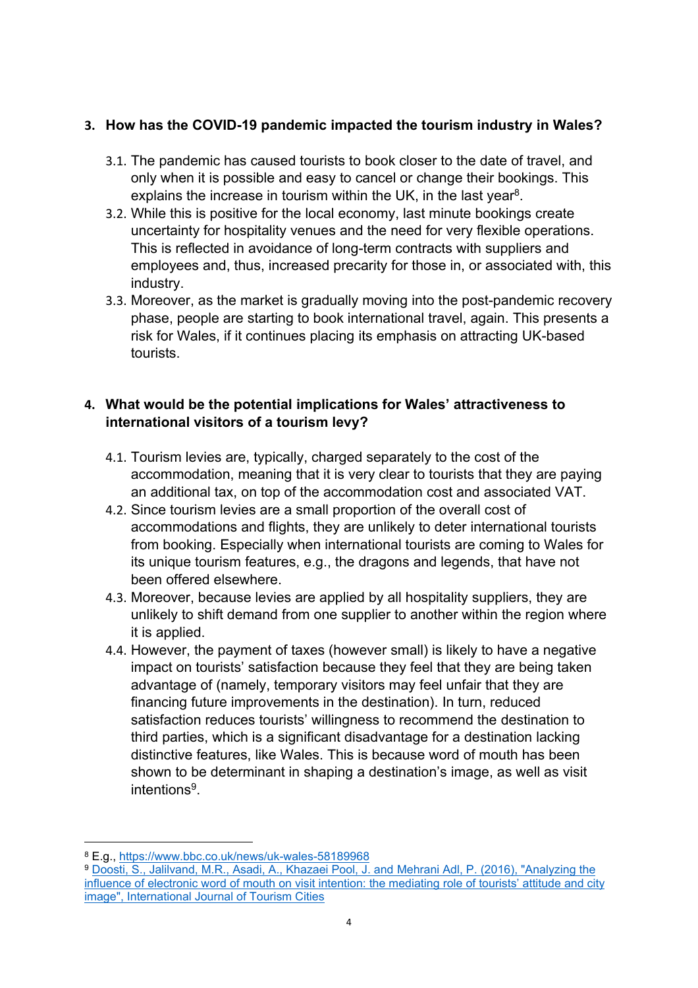## **3. How has the COVID-19 pandemic impacted the tourism industry in Wales?**

- 3.1. The pandemic has caused tourists to book closer to the date of travel, and only when it is possible and easy to cancel or change their bookings. This explains the increase in tourism within the UK, in the last year<sup>8</sup>.
- 3.2. While this is positive for the local economy, last minute bookings create uncertainty for hospitality venues and the need for very flexible operations. This is reflected in avoidance of long-term contracts with suppliers and employees and, thus, increased precarity for those in, or associated with, this industry.
- 3.3. Moreover, as the market is gradually moving into the post-pandemic recovery phase, people are starting to book international travel, again. This presents a risk for Wales, if it continues placing its emphasis on attracting UK-based tourists.

## **4. What would be the potential implications for Wales' attractiveness to international visitors of a tourism levy?**

- 4.1. Tourism levies are, typically, charged separately to the cost of the accommodation, meaning that it is very clear to tourists that they are paying an additional tax, on top of the accommodation cost and associated VAT.
- 4.2. Since tourism levies are a small proportion of the overall cost of accommodations and flights, they are unlikely to deter international tourists from booking. Especially when international tourists are coming to Wales for its unique tourism features, e.g., the dragons and legends, that have not been offered elsewhere.
- 4.3. Moreover, because levies are applied by all hospitality suppliers, they are unlikely to shift demand from one supplier to another within the region where it is applied.
- 4.4. However, the payment of taxes (however small) is likely to have a negative impact on tourists' satisfaction because they feel that they are being taken advantage of (namely, temporary visitors may feel unfair that they are financing future improvements in the destination). In turn, reduced satisfaction reduces tourists' willingness to recommend the destination to third parties, which is a significant disadvantage for a destination lacking distinctive features, like Wales. This is because word of mouth has been shown to be determinant in shaping a destination's image, as well as visit intentions<sup>9</sup> .

<sup>8</sup> E.g., <https://www.bbc.co.uk/news/uk-wales-58189968>

<sup>&</sup>lt;sup>9</sup> [Doosti,](https://www.researchgate.net/publication/305693722_Analyzing_the_influence_of_electronic_word_of_mouth_on_visit_intention_the_mediating_role_of_tourists%27_attitude_and_city_image) [S.,](https://www.researchgate.net/publication/305693722_Analyzing_the_influence_of_electronic_word_of_mouth_on_visit_intention_the_mediating_role_of_tourists%27_attitude_and_city_image) [Jalilvand,](https://www.researchgate.net/publication/305693722_Analyzing_the_influence_of_electronic_word_of_mouth_on_visit_intention_the_mediating_role_of_tourists%27_attitude_and_city_image) [M.R.,](https://www.researchgate.net/publication/305693722_Analyzing_the_influence_of_electronic_word_of_mouth_on_visit_intention_the_mediating_role_of_tourists%27_attitude_and_city_image) [Asadi,](https://www.researchgate.net/publication/305693722_Analyzing_the_influence_of_electronic_word_of_mouth_on_visit_intention_the_mediating_role_of_tourists%27_attitude_and_city_image) [A.,](https://www.researchgate.net/publication/305693722_Analyzing_the_influence_of_electronic_word_of_mouth_on_visit_intention_the_mediating_role_of_tourists%27_attitude_and_city_image) [Khazaei](https://www.researchgate.net/publication/305693722_Analyzing_the_influence_of_electronic_word_of_mouth_on_visit_intention_the_mediating_role_of_tourists%27_attitude_and_city_image) [Pool,](https://www.researchgate.net/publication/305693722_Analyzing_the_influence_of_electronic_word_of_mouth_on_visit_intention_the_mediating_role_of_tourists%27_attitude_and_city_image) [J.](https://www.researchgate.net/publication/305693722_Analyzing_the_influence_of_electronic_word_of_mouth_on_visit_intention_the_mediating_role_of_tourists%27_attitude_and_city_image) [and](https://www.researchgate.net/publication/305693722_Analyzing_the_influence_of_electronic_word_of_mouth_on_visit_intention_the_mediating_role_of_tourists%27_attitude_and_city_image) [Mehrani](https://www.researchgate.net/publication/305693722_Analyzing_the_influence_of_electronic_word_of_mouth_on_visit_intention_the_mediating_role_of_tourists%27_attitude_and_city_image) [Adl,](https://www.researchgate.net/publication/305693722_Analyzing_the_influence_of_electronic_word_of_mouth_on_visit_intention_the_mediating_role_of_tourists%27_attitude_and_city_image) [P.](https://www.researchgate.net/publication/305693722_Analyzing_the_influence_of_electronic_word_of_mouth_on_visit_intention_the_mediating_role_of_tourists%27_attitude_and_city_image) [\(2016\),](https://www.researchgate.net/publication/305693722_Analyzing_the_influence_of_electronic_word_of_mouth_on_visit_intention_the_mediating_role_of_tourists%27_attitude_and_city_image) ["Analyzing](https://www.researchgate.net/publication/305693722_Analyzing_the_influence_of_electronic_word_of_mouth_on_visit_intention_the_mediating_role_of_tourists%27_attitude_and_city_image) [the](https://www.researchgate.net/publication/305693722_Analyzing_the_influence_of_electronic_word_of_mouth_on_visit_intention_the_mediating_role_of_tourists%27_attitude_and_city_image) [influence](https://www.researchgate.net/publication/305693722_Analyzing_the_influence_of_electronic_word_of_mouth_on_visit_intention_the_mediating_role_of_tourists%27_attitude_and_city_image) [of](https://www.researchgate.net/publication/305693722_Analyzing_the_influence_of_electronic_word_of_mouth_on_visit_intention_the_mediating_role_of_tourists%27_attitude_and_city_image) [electronic](https://www.researchgate.net/publication/305693722_Analyzing_the_influence_of_electronic_word_of_mouth_on_visit_intention_the_mediating_role_of_tourists%27_attitude_and_city_image) [word](https://www.researchgate.net/publication/305693722_Analyzing_the_influence_of_electronic_word_of_mouth_on_visit_intention_the_mediating_role_of_tourists%27_attitude_and_city_image) [of](https://www.researchgate.net/publication/305693722_Analyzing_the_influence_of_electronic_word_of_mouth_on_visit_intention_the_mediating_role_of_tourists%27_attitude_and_city_image) [mouth](https://www.researchgate.net/publication/305693722_Analyzing_the_influence_of_electronic_word_of_mouth_on_visit_intention_the_mediating_role_of_tourists%27_attitude_and_city_image) [on](https://www.researchgate.net/publication/305693722_Analyzing_the_influence_of_electronic_word_of_mouth_on_visit_intention_the_mediating_role_of_tourists%27_attitude_and_city_image) [visit](https://www.researchgate.net/publication/305693722_Analyzing_the_influence_of_electronic_word_of_mouth_on_visit_intention_the_mediating_role_of_tourists%27_attitude_and_city_image) [intention:](https://www.researchgate.net/publication/305693722_Analyzing_the_influence_of_electronic_word_of_mouth_on_visit_intention_the_mediating_role_of_tourists%27_attitude_and_city_image) [the](https://www.researchgate.net/publication/305693722_Analyzing_the_influence_of_electronic_word_of_mouth_on_visit_intention_the_mediating_role_of_tourists%27_attitude_and_city_image) [mediating](https://www.researchgate.net/publication/305693722_Analyzing_the_influence_of_electronic_word_of_mouth_on_visit_intention_the_mediating_role_of_tourists%27_attitude_and_city_image) [role](https://www.researchgate.net/publication/305693722_Analyzing_the_influence_of_electronic_word_of_mouth_on_visit_intention_the_mediating_role_of_tourists%27_attitude_and_city_image) [of](https://www.researchgate.net/publication/305693722_Analyzing_the_influence_of_electronic_word_of_mouth_on_visit_intention_the_mediating_role_of_tourists%27_attitude_and_city_image) [tourists'](https://www.researchgate.net/publication/305693722_Analyzing_the_influence_of_electronic_word_of_mouth_on_visit_intention_the_mediating_role_of_tourists%27_attitude_and_city_image) [attitude](https://www.researchgate.net/publication/305693722_Analyzing_the_influence_of_electronic_word_of_mouth_on_visit_intention_the_mediating_role_of_tourists%27_attitude_and_city_image) [and](https://www.researchgate.net/publication/305693722_Analyzing_the_influence_of_electronic_word_of_mouth_on_visit_intention_the_mediating_role_of_tourists%27_attitude_and_city_image) [city](https://www.researchgate.net/publication/305693722_Analyzing_the_influence_of_electronic_word_of_mouth_on_visit_intention_the_mediating_role_of_tourists%27_attitude_and_city_image) [image",](https://www.researchgate.net/publication/305693722_Analyzing_the_influence_of_electronic_word_of_mouth_on_visit_intention_the_mediating_role_of_tourists%27_attitude_and_city_image) [International](https://www.researchgate.net/publication/305693722_Analyzing_the_influence_of_electronic_word_of_mouth_on_visit_intention_the_mediating_role_of_tourists%27_attitude_and_city_image) [Journal](https://www.researchgate.net/publication/305693722_Analyzing_the_influence_of_electronic_word_of_mouth_on_visit_intention_the_mediating_role_of_tourists%27_attitude_and_city_image) [of](https://www.researchgate.net/publication/305693722_Analyzing_the_influence_of_electronic_word_of_mouth_on_visit_intention_the_mediating_role_of_tourists%27_attitude_and_city_image) [Tourism](https://www.researchgate.net/publication/305693722_Analyzing_the_influence_of_electronic_word_of_mouth_on_visit_intention_the_mediating_role_of_tourists%27_attitude_and_city_image) [Cities](https://www.researchgate.net/publication/305693722_Analyzing_the_influence_of_electronic_word_of_mouth_on_visit_intention_the_mediating_role_of_tourists%27_attitude_and_city_image)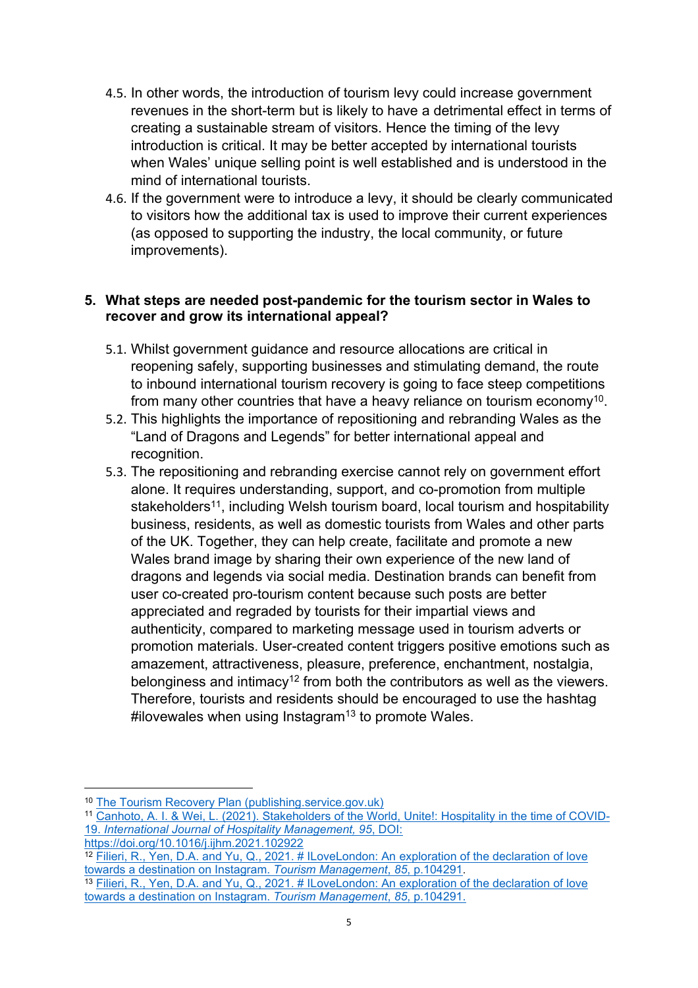- 4.5. In other words, the introduction of tourism levy could increase government revenues in the short-term but is likely to have a detrimental effect in terms of creating a sustainable stream of visitors. Hence the timing of the levy introduction is critical. It may be better accepted by international tourists when Wales' unique selling point is well established and is understood in the mind of international tourists.
- 4.6. If the government were to introduce a levy, it should be clearly communicated to visitors how the additional tax is used to improve their current experiences (as opposed to supporting the industry, the local community, or future improvements).

### **5. What steps are needed post-pandemic for the tourism sector in Wales to recover and grow its international appeal?**

- 5.1. Whilst government guidance and resource allocations are critical in reopening safely, supporting businesses and stimulating demand, the route to inbound international tourism recovery is going to face steep competitions from many other countries that have a heavy reliance on tourism economy<sup>10</sup>.
- 5.2. This highlights the importance of repositioning and rebranding Wales as the "Land of Dragons and Legends" for better international appeal and recognition.
- 5.3. The repositioning and rebranding exercise cannot rely on government effort alone. It requires understanding, support, and co-promotion from multiple stakeholders<sup>11</sup>, including Welsh tourism board, local tourism and hospitability business, residents, as well as domestic tourists from Wales and other parts of the UK. Together, they can help create, facilitate and promote a new Wales brand image by sharing their own experience of the new land of dragons and legends via social media. Destination brands can benefit from user co-created pro-tourism content because such posts are better appreciated and regraded by tourists for their impartial views and authenticity, compared to marketing message used in tourism adverts or promotion materials. User-created content triggers positive emotions such as amazement, attractiveness, pleasure, preference, enchantment, nostalgia, belonginess and intimacy<sup>12</sup> from both the contributors as well as the viewers. Therefore, tourists and residents should be encouraged to use the hashtag  $\#$ ilovewales when using Instagram<sup>13</sup> to promote Wales.

<sup>11</sup> [Canhoto,](https://www.sciencedirect.com/science/article/pii/S0278431921000657) [A.](https://www.sciencedirect.com/science/article/pii/S0278431921000657) [I.](https://www.sciencedirect.com/science/article/pii/S0278431921000657) [&](https://www.sciencedirect.com/science/article/pii/S0278431921000657) [Wei,](https://www.sciencedirect.com/science/article/pii/S0278431921000657) [L.](https://www.sciencedirect.com/science/article/pii/S0278431921000657) [\(2021\).](https://www.sciencedirect.com/science/article/pii/S0278431921000657) [Stakeholders](https://www.sciencedirect.com/science/article/pii/S0278431921000657) [of](https://www.sciencedirect.com/science/article/pii/S0278431921000657) [the](https://www.sciencedirect.com/science/article/pii/S0278431921000657) [World,](https://www.sciencedirect.com/science/article/pii/S0278431921000657) [Unite!:](https://www.sciencedirect.com/science/article/pii/S0278431921000657) [Hospitality](https://www.sciencedirect.com/science/article/pii/S0278431921000657) [in](https://www.sciencedirect.com/science/article/pii/S0278431921000657) [the](https://www.sciencedirect.com/science/article/pii/S0278431921000657) [time](https://www.sciencedirect.com/science/article/pii/S0278431921000657) [of](https://www.sciencedirect.com/science/article/pii/S0278431921000657) [COVID-](https://www.sciencedirect.com/science/article/pii/S0278431921000657)[19.](https://www.sciencedirect.com/science/article/pii/S0278431921000657) *[International](https://www.sciencedirect.com/science/article/pii/S0278431921000657) [Journal](https://www.sciencedirect.com/science/article/pii/S0278431921000657) [of](https://www.sciencedirect.com/science/article/pii/S0278431921000657) [Hospitality](https://www.sciencedirect.com/science/article/pii/S0278431921000657) [Management,](https://www.sciencedirect.com/science/article/pii/S0278431921000657) [95](https://www.sciencedirect.com/science/article/pii/S0278431921000657)*[,](https://www.sciencedirect.com/science/article/pii/S0278431921000657) [DOI:](https://www.sciencedirect.com/science/article/pii/S0278431921000657) [https://doi.org/10.1016/j.ijhm.2021.102922](https://www.sciencedirect.com/science/article/pii/S0278431921000657)

<sup>10</sup> [The](https://assets.publishing.service.gov.uk/government/uploads/system/uploads/attachment_data/file/992974/Tourism_Recovery_Plan__Web_Accessible_.pdf) [Tourism](https://assets.publishing.service.gov.uk/government/uploads/system/uploads/attachment_data/file/992974/Tourism_Recovery_Plan__Web_Accessible_.pdf) [Recovery](https://assets.publishing.service.gov.uk/government/uploads/system/uploads/attachment_data/file/992974/Tourism_Recovery_Plan__Web_Accessible_.pdf) [Plan](https://assets.publishing.service.gov.uk/government/uploads/system/uploads/attachment_data/file/992974/Tourism_Recovery_Plan__Web_Accessible_.pdf) [\(publishing.service.gov.uk\)](https://assets.publishing.service.gov.uk/government/uploads/system/uploads/attachment_data/file/992974/Tourism_Recovery_Plan__Web_Accessible_.pdf)

<sup>&</sup>lt;sup>12</sup> [Filieri,](https://www.sciencedirect.com/science/article/pii/S0261517721000108?casa_token=BWkJRgfm3IUAAAAA:qJTRqzqSSj1MAgHbma6Tl8v46G0KlqqAuYJdp--PMC4_YjSqLY9K6CUSsLSSdmWO4SsmwjS9) [R.,](https://www.sciencedirect.com/science/article/pii/S0261517721000108?casa_token=BWkJRgfm3IUAAAAA:qJTRqzqSSj1MAgHbma6Tl8v46G0KlqqAuYJdp--PMC4_YjSqLY9K6CUSsLSSdmWO4SsmwjS9) [Yen,](https://www.sciencedirect.com/science/article/pii/S0261517721000108?casa_token=BWkJRgfm3IUAAAAA:qJTRqzqSSj1MAgHbma6Tl8v46G0KlqqAuYJdp--PMC4_YjSqLY9K6CUSsLSSdmWO4SsmwjS9) [D.A.](https://www.sciencedirect.com/science/article/pii/S0261517721000108?casa_token=BWkJRgfm3IUAAAAA:qJTRqzqSSj1MAgHbma6Tl8v46G0KlqqAuYJdp--PMC4_YjSqLY9K6CUSsLSSdmWO4SsmwjS9) [and](https://www.sciencedirect.com/science/article/pii/S0261517721000108?casa_token=BWkJRgfm3IUAAAAA:qJTRqzqSSj1MAgHbma6Tl8v46G0KlqqAuYJdp--PMC4_YjSqLY9K6CUSsLSSdmWO4SsmwjS9) [Yu,](https://www.sciencedirect.com/science/article/pii/S0261517721000108?casa_token=BWkJRgfm3IUAAAAA:qJTRqzqSSj1MAgHbma6Tl8v46G0KlqqAuYJdp--PMC4_YjSqLY9K6CUSsLSSdmWO4SsmwjS9) [Q.,](https://www.sciencedirect.com/science/article/pii/S0261517721000108?casa_token=BWkJRgfm3IUAAAAA:qJTRqzqSSj1MAgHbma6Tl8v46G0KlqqAuYJdp--PMC4_YjSqLY9K6CUSsLSSdmWO4SsmwjS9) [2021.](https://www.sciencedirect.com/science/article/pii/S0261517721000108?casa_token=BWkJRgfm3IUAAAAA:qJTRqzqSSj1MAgHbma6Tl8v46G0KlqqAuYJdp--PMC4_YjSqLY9K6CUSsLSSdmWO4SsmwjS9) [#](https://www.sciencedirect.com/science/article/pii/S0261517721000108?casa_token=BWkJRgfm3IUAAAAA:qJTRqzqSSj1MAgHbma6Tl8v46G0KlqqAuYJdp--PMC4_YjSqLY9K6CUSsLSSdmWO4SsmwjS9) [ILoveLondon:](https://www.sciencedirect.com/science/article/pii/S0261517721000108?casa_token=BWkJRgfm3IUAAAAA:qJTRqzqSSj1MAgHbma6Tl8v46G0KlqqAuYJdp--PMC4_YjSqLY9K6CUSsLSSdmWO4SsmwjS9) [An](https://www.sciencedirect.com/science/article/pii/S0261517721000108?casa_token=BWkJRgfm3IUAAAAA:qJTRqzqSSj1MAgHbma6Tl8v46G0KlqqAuYJdp--PMC4_YjSqLY9K6CUSsLSSdmWO4SsmwjS9) [exploration](https://www.sciencedirect.com/science/article/pii/S0261517721000108?casa_token=BWkJRgfm3IUAAAAA:qJTRqzqSSj1MAgHbma6Tl8v46G0KlqqAuYJdp--PMC4_YjSqLY9K6CUSsLSSdmWO4SsmwjS9) [of](https://www.sciencedirect.com/science/article/pii/S0261517721000108?casa_token=BWkJRgfm3IUAAAAA:qJTRqzqSSj1MAgHbma6Tl8v46G0KlqqAuYJdp--PMC4_YjSqLY9K6CUSsLSSdmWO4SsmwjS9) [the](https://www.sciencedirect.com/science/article/pii/S0261517721000108?casa_token=BWkJRgfm3IUAAAAA:qJTRqzqSSj1MAgHbma6Tl8v46G0KlqqAuYJdp--PMC4_YjSqLY9K6CUSsLSSdmWO4SsmwjS9) [declaration](https://www.sciencedirect.com/science/article/pii/S0261517721000108?casa_token=BWkJRgfm3IUAAAAA:qJTRqzqSSj1MAgHbma6Tl8v46G0KlqqAuYJdp--PMC4_YjSqLY9K6CUSsLSSdmWO4SsmwjS9) of [love](https://www.sciencedirect.com/science/article/pii/S0261517721000108?casa_token=BWkJRgfm3IUAAAAA:qJTRqzqSSj1MAgHbma6Tl8v46G0KlqqAuYJdp--PMC4_YjSqLY9K6CUSsLSSdmWO4SsmwjS9) [towards](https://www.sciencedirect.com/science/article/pii/S0261517721000108?casa_token=BWkJRgfm3IUAAAAA:qJTRqzqSSj1MAgHbma6Tl8v46G0KlqqAuYJdp--PMC4_YjSqLY9K6CUSsLSSdmWO4SsmwjS9) [a](https://www.sciencedirect.com/science/article/pii/S0261517721000108?casa_token=BWkJRgfm3IUAAAAA:qJTRqzqSSj1MAgHbma6Tl8v46G0KlqqAuYJdp--PMC4_YjSqLY9K6CUSsLSSdmWO4SsmwjS9) [destination](https://www.sciencedirect.com/science/article/pii/S0261517721000108?casa_token=BWkJRgfm3IUAAAAA:qJTRqzqSSj1MAgHbma6Tl8v46G0KlqqAuYJdp--PMC4_YjSqLY9K6CUSsLSSdmWO4SsmwjS9) [on](https://www.sciencedirect.com/science/article/pii/S0261517721000108?casa_token=BWkJRgfm3IUAAAAA:qJTRqzqSSj1MAgHbma6Tl8v46G0KlqqAuYJdp--PMC4_YjSqLY9K6CUSsLSSdmWO4SsmwjS9) [Instagram.](https://www.sciencedirect.com/science/article/pii/S0261517721000108?casa_token=BWkJRgfm3IUAAAAA:qJTRqzqSSj1MAgHbma6Tl8v46G0KlqqAuYJdp--PMC4_YjSqLY9K6CUSsLSSdmWO4SsmwjS9) *[Tourism](https://www.sciencedirect.com/science/article/pii/S0261517721000108?casa_token=BWkJRgfm3IUAAAAA:qJTRqzqSSj1MAgHbma6Tl8v46G0KlqqAuYJdp--PMC4_YjSqLY9K6CUSsLSSdmWO4SsmwjS9) [Management](https://www.sciencedirect.com/science/article/pii/S0261517721000108?casa_token=BWkJRgfm3IUAAAAA:qJTRqzqSSj1MAgHbma6Tl8v46G0KlqqAuYJdp--PMC4_YjSqLY9K6CUSsLSSdmWO4SsmwjS9)*[,](https://www.sciencedirect.com/science/article/pii/S0261517721000108?casa_token=BWkJRgfm3IUAAAAA:qJTRqzqSSj1MAgHbma6Tl8v46G0KlqqAuYJdp--PMC4_YjSqLY9K6CUSsLSSdmWO4SsmwjS9) *[85](https://www.sciencedirect.com/science/article/pii/S0261517721000108?casa_token=BWkJRgfm3IUAAAAA:qJTRqzqSSj1MAgHbma6Tl8v46G0KlqqAuYJdp--PMC4_YjSqLY9K6CUSsLSSdmWO4SsmwjS9)*[,](https://www.sciencedirect.com/science/article/pii/S0261517721000108?casa_token=BWkJRgfm3IUAAAAA:qJTRqzqSSj1MAgHbma6Tl8v46G0KlqqAuYJdp--PMC4_YjSqLY9K6CUSsLSSdmWO4SsmwjS9) [p.104291](https://www.sciencedirect.com/science/article/pii/S0261517721000108?casa_token=BWkJRgfm3IUAAAAA:qJTRqzqSSj1MAgHbma6Tl8v46G0KlqqAuYJdp--PMC4_YjSqLY9K6CUSsLSSdmWO4SsmwjS9).

<sup>13</sup> [Filieri,](https://www.sciencedirect.com/science/article/pii/S0261517721000108?casa_token=BWkJRgfm3IUAAAAA:qJTRqzqSSj1MAgHbma6Tl8v46G0KlqqAuYJdp--PMC4_YjSqLY9K6CUSsLSSdmWO4SsmwjS9) [R.,](https://www.sciencedirect.com/science/article/pii/S0261517721000108?casa_token=BWkJRgfm3IUAAAAA:qJTRqzqSSj1MAgHbma6Tl8v46G0KlqqAuYJdp--PMC4_YjSqLY9K6CUSsLSSdmWO4SsmwjS9) [Yen,](https://www.sciencedirect.com/science/article/pii/S0261517721000108?casa_token=BWkJRgfm3IUAAAAA:qJTRqzqSSj1MAgHbma6Tl8v46G0KlqqAuYJdp--PMC4_YjSqLY9K6CUSsLSSdmWO4SsmwjS9) [D.A.](https://www.sciencedirect.com/science/article/pii/S0261517721000108?casa_token=BWkJRgfm3IUAAAAA:qJTRqzqSSj1MAgHbma6Tl8v46G0KlqqAuYJdp--PMC4_YjSqLY9K6CUSsLSSdmWO4SsmwjS9) [and](https://www.sciencedirect.com/science/article/pii/S0261517721000108?casa_token=BWkJRgfm3IUAAAAA:qJTRqzqSSj1MAgHbma6Tl8v46G0KlqqAuYJdp--PMC4_YjSqLY9K6CUSsLSSdmWO4SsmwjS9) [Yu,](https://www.sciencedirect.com/science/article/pii/S0261517721000108?casa_token=BWkJRgfm3IUAAAAA:qJTRqzqSSj1MAgHbma6Tl8v46G0KlqqAuYJdp--PMC4_YjSqLY9K6CUSsLSSdmWO4SsmwjS9) [Q.,](https://www.sciencedirect.com/science/article/pii/S0261517721000108?casa_token=BWkJRgfm3IUAAAAA:qJTRqzqSSj1MAgHbma6Tl8v46G0KlqqAuYJdp--PMC4_YjSqLY9K6CUSsLSSdmWO4SsmwjS9) [2021.](https://www.sciencedirect.com/science/article/pii/S0261517721000108?casa_token=BWkJRgfm3IUAAAAA:qJTRqzqSSj1MAgHbma6Tl8v46G0KlqqAuYJdp--PMC4_YjSqLY9K6CUSsLSSdmWO4SsmwjS9) [#](https://www.sciencedirect.com/science/article/pii/S0261517721000108?casa_token=BWkJRgfm3IUAAAAA:qJTRqzqSSj1MAgHbma6Tl8v46G0KlqqAuYJdp--PMC4_YjSqLY9K6CUSsLSSdmWO4SsmwjS9) [ILoveLondon:](https://www.sciencedirect.com/science/article/pii/S0261517721000108?casa_token=BWkJRgfm3IUAAAAA:qJTRqzqSSj1MAgHbma6Tl8v46G0KlqqAuYJdp--PMC4_YjSqLY9K6CUSsLSSdmWO4SsmwjS9) [An](https://www.sciencedirect.com/science/article/pii/S0261517721000108?casa_token=BWkJRgfm3IUAAAAA:qJTRqzqSSj1MAgHbma6Tl8v46G0KlqqAuYJdp--PMC4_YjSqLY9K6CUSsLSSdmWO4SsmwjS9) [exploration](https://www.sciencedirect.com/science/article/pii/S0261517721000108?casa_token=BWkJRgfm3IUAAAAA:qJTRqzqSSj1MAgHbma6Tl8v46G0KlqqAuYJdp--PMC4_YjSqLY9K6CUSsLSSdmWO4SsmwjS9) [of](https://www.sciencedirect.com/science/article/pii/S0261517721000108?casa_token=BWkJRgfm3IUAAAAA:qJTRqzqSSj1MAgHbma6Tl8v46G0KlqqAuYJdp--PMC4_YjSqLY9K6CUSsLSSdmWO4SsmwjS9) [the](https://www.sciencedirect.com/science/article/pii/S0261517721000108?casa_token=BWkJRgfm3IUAAAAA:qJTRqzqSSj1MAgHbma6Tl8v46G0KlqqAuYJdp--PMC4_YjSqLY9K6CUSsLSSdmWO4SsmwjS9) [declaration](https://www.sciencedirect.com/science/article/pii/S0261517721000108?casa_token=BWkJRgfm3IUAAAAA:qJTRqzqSSj1MAgHbma6Tl8v46G0KlqqAuYJdp--PMC4_YjSqLY9K6CUSsLSSdmWO4SsmwjS9) [of](https://www.sciencedirect.com/science/article/pii/S0261517721000108?casa_token=BWkJRgfm3IUAAAAA:qJTRqzqSSj1MAgHbma6Tl8v46G0KlqqAuYJdp--PMC4_YjSqLY9K6CUSsLSSdmWO4SsmwjS9) [love](https://www.sciencedirect.com/science/article/pii/S0261517721000108?casa_token=BWkJRgfm3IUAAAAA:qJTRqzqSSj1MAgHbma6Tl8v46G0KlqqAuYJdp--PMC4_YjSqLY9K6CUSsLSSdmWO4SsmwjS9) [towards](https://www.sciencedirect.com/science/article/pii/S0261517721000108?casa_token=BWkJRgfm3IUAAAAA:qJTRqzqSSj1MAgHbma6Tl8v46G0KlqqAuYJdp--PMC4_YjSqLY9K6CUSsLSSdmWO4SsmwjS9) [a](https://www.sciencedirect.com/science/article/pii/S0261517721000108?casa_token=BWkJRgfm3IUAAAAA:qJTRqzqSSj1MAgHbma6Tl8v46G0KlqqAuYJdp--PMC4_YjSqLY9K6CUSsLSSdmWO4SsmwjS9) [destination](https://www.sciencedirect.com/science/article/pii/S0261517721000108?casa_token=BWkJRgfm3IUAAAAA:qJTRqzqSSj1MAgHbma6Tl8v46G0KlqqAuYJdp--PMC4_YjSqLY9K6CUSsLSSdmWO4SsmwjS9) [on](https://www.sciencedirect.com/science/article/pii/S0261517721000108?casa_token=BWkJRgfm3IUAAAAA:qJTRqzqSSj1MAgHbma6Tl8v46G0KlqqAuYJdp--PMC4_YjSqLY9K6CUSsLSSdmWO4SsmwjS9) [Instagram.](https://www.sciencedirect.com/science/article/pii/S0261517721000108?casa_token=BWkJRgfm3IUAAAAA:qJTRqzqSSj1MAgHbma6Tl8v46G0KlqqAuYJdp--PMC4_YjSqLY9K6CUSsLSSdmWO4SsmwjS9) *[Tourism](https://www.sciencedirect.com/science/article/pii/S0261517721000108?casa_token=BWkJRgfm3IUAAAAA:qJTRqzqSSj1MAgHbma6Tl8v46G0KlqqAuYJdp--PMC4_YjSqLY9K6CUSsLSSdmWO4SsmwjS9) [Management](https://www.sciencedirect.com/science/article/pii/S0261517721000108?casa_token=BWkJRgfm3IUAAAAA:qJTRqzqSSj1MAgHbma6Tl8v46G0KlqqAuYJdp--PMC4_YjSqLY9K6CUSsLSSdmWO4SsmwjS9)*[,](https://www.sciencedirect.com/science/article/pii/S0261517721000108?casa_token=BWkJRgfm3IUAAAAA:qJTRqzqSSj1MAgHbma6Tl8v46G0KlqqAuYJdp--PMC4_YjSqLY9K6CUSsLSSdmWO4SsmwjS9) *[85](https://www.sciencedirect.com/science/article/pii/S0261517721000108?casa_token=BWkJRgfm3IUAAAAA:qJTRqzqSSj1MAgHbma6Tl8v46G0KlqqAuYJdp--PMC4_YjSqLY9K6CUSsLSSdmWO4SsmwjS9)*[,](https://www.sciencedirect.com/science/article/pii/S0261517721000108?casa_token=BWkJRgfm3IUAAAAA:qJTRqzqSSj1MAgHbma6Tl8v46G0KlqqAuYJdp--PMC4_YjSqLY9K6CUSsLSSdmWO4SsmwjS9) [p.104291.](https://www.sciencedirect.com/science/article/pii/S0261517721000108?casa_token=BWkJRgfm3IUAAAAA:qJTRqzqSSj1MAgHbma6Tl8v46G0KlqqAuYJdp--PMC4_YjSqLY9K6CUSsLSSdmWO4SsmwjS9)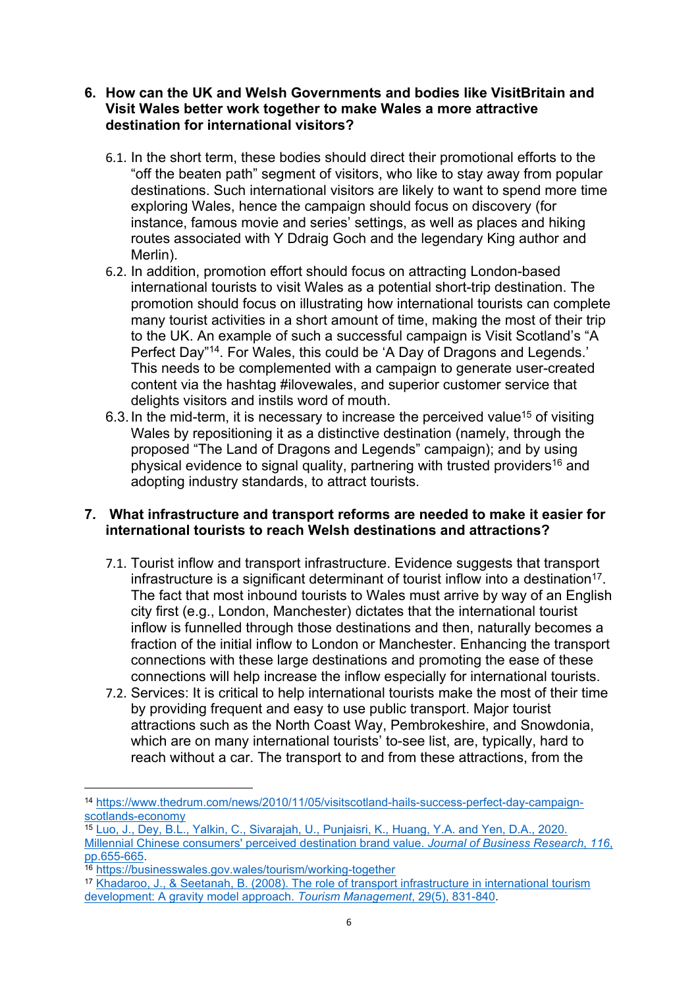#### **6. How can the UK and Welsh Governments and bodies like VisitBritain and Visit Wales better work together to make Wales a more attractive destination for international visitors?**

- 6.1. In the short term, these bodies should direct their promotional efforts to the "off the beaten path" segment of visitors, who like to stay away from popular destinations. Such international visitors are likely to want to spend more time exploring Wales, hence the campaign should focus on discovery (for instance, famous movie and series' settings, as well as places and hiking routes associated with Y Ddraig Goch and the legendary King author and Merlin).
- 6.2. In addition, promotion effort should focus on attracting London-based international tourists to visit Wales as a potential short-trip destination. The promotion should focus on illustrating how international tourists can complete many tourist activities in a short amount of time, making the most of their trip to the UK. An example of such a successful campaign is Visit Scotland's "A Perfect Day"<sup>14</sup>. For Wales, this could be 'A Day of Dragons and Legends.' This needs to be complemented with a campaign to generate user-created content via the hashtag #ilovewales, and superior customer service that delights visitors and instils word of mouth.
- 6.3.In the mid-term, it is necessary to increase the perceived value<sup>15</sup> of visiting Wales by repositioning it as a distinctive destination (namely, through the proposed "The Land of Dragons and Legends" campaign); and by using physical evidence to signal quality, partnering with trusted providers<sup>16</sup> and adopting industry standards, to attract tourists.

#### **7. What infrastructure and transport reforms are needed to make it easier for international tourists to reach Welsh destinations and attractions?**

- 7.1. Tourist inflow and transport infrastructure. Evidence suggests that transport infrastructure is a significant determinant of tourist inflow into a destination<sup>17</sup>. The fact that most inbound tourists to Wales must arrive by way of an English city first (e.g., London, Manchester) dictates that the international tourist inflow is funnelled through those destinations and then, naturally becomes a fraction of the initial inflow to London or Manchester. Enhancing the transport connections with these large destinations and promoting the ease of these connections will help increase the inflow especially for international tourists.
- 7.2. Services: It is critical to help international tourists make the most of their time by providing frequent and easy to use public transport. Major tourist attractions such as the North Coast Way, Pembrokeshire, and Snowdonia, which are on many international tourists' to-see list, are, typically, hard to reach without a car. The transport to and from these attractions, from the

<sup>14</sup> [https://www.thedrum.com/news/2010/11/05/visitscotland-hails-success-perfect-day-campaign](https://www.thedrum.com/news/2010/11/05/visitscotland-hails-success-perfect-day-campaign-scotlands-economy)[scotlands-economy](https://www.thedrum.com/news/2010/11/05/visitscotland-hails-success-perfect-day-campaign-scotlands-economy)

<sup>15</sup> [Luo,](https://www.sciencedirect.com/science/article/pii/S0148296318303023) [J.,](https://www.sciencedirect.com/science/article/pii/S0148296318303023) [Dey,](https://www.sciencedirect.com/science/article/pii/S0148296318303023) [B.L.,](https://www.sciencedirect.com/science/article/pii/S0148296318303023) [Yalkin,](https://www.sciencedirect.com/science/article/pii/S0148296318303023) [C.,](https://www.sciencedirect.com/science/article/pii/S0148296318303023) [Sivarajah,](https://www.sciencedirect.com/science/article/pii/S0148296318303023) [U.,](https://www.sciencedirect.com/science/article/pii/S0148296318303023) [Punjaisri,](https://www.sciencedirect.com/science/article/pii/S0148296318303023) [K.,](https://www.sciencedirect.com/science/article/pii/S0148296318303023) [Huang,](https://www.sciencedirect.com/science/article/pii/S0148296318303023) [Y.A.](https://www.sciencedirect.com/science/article/pii/S0148296318303023) [and](https://www.sciencedirect.com/science/article/pii/S0148296318303023) [Yen,](https://www.sciencedirect.com/science/article/pii/S0148296318303023) [D.A.,](https://www.sciencedirect.com/science/article/pii/S0148296318303023) [2020.](https://www.sciencedirect.com/science/article/pii/S0148296318303023) [Millennial](https://www.sciencedirect.com/science/article/pii/S0148296318303023) [Chinese](https://www.sciencedirect.com/science/article/pii/S0148296318303023) [consumers'](https://www.sciencedirect.com/science/article/pii/S0148296318303023) [perceived](https://www.sciencedirect.com/science/article/pii/S0148296318303023) [destination](https://www.sciencedirect.com/science/article/pii/S0148296318303023) [brand](https://www.sciencedirect.com/science/article/pii/S0148296318303023) [value.](https://www.sciencedirect.com/science/article/pii/S0148296318303023) *[Journal](https://www.sciencedirect.com/science/article/pii/S0148296318303023) [of](https://www.sciencedirect.com/science/article/pii/S0148296318303023) [Business](https://www.sciencedirect.com/science/article/pii/S0148296318303023) [Research](https://www.sciencedirect.com/science/article/pii/S0148296318303023)*[,](https://www.sciencedirect.com/science/article/pii/S0148296318303023) *[116](https://www.sciencedirect.com/science/article/pii/S0148296318303023)*[,](https://www.sciencedirect.com/science/article/pii/S0148296318303023) [pp.655-665.](https://www.sciencedirect.com/science/article/pii/S0148296318303023)

<sup>16</sup> <https://businesswales.gov.wales/tourism/working-together>

<sup>17</sup> [Khadaroo,](https://www.sciencedirect.com/science/article/pii/S0261517707001926) [J.,](https://www.sciencedirect.com/science/article/pii/S0261517707001926) [&](https://www.sciencedirect.com/science/article/pii/S0261517707001926) [Seetanah,](https://www.sciencedirect.com/science/article/pii/S0261517707001926) [B.](https://www.sciencedirect.com/science/article/pii/S0261517707001926) [\(2008\).](https://www.sciencedirect.com/science/article/pii/S0261517707001926) [The](https://www.sciencedirect.com/science/article/pii/S0261517707001926) [role](https://www.sciencedirect.com/science/article/pii/S0261517707001926) [of](https://www.sciencedirect.com/science/article/pii/S0261517707001926) [transport](https://www.sciencedirect.com/science/article/pii/S0261517707001926) [infrastructure](https://www.sciencedirect.com/science/article/pii/S0261517707001926) [in](https://www.sciencedirect.com/science/article/pii/S0261517707001926) [international](https://www.sciencedirect.com/science/article/pii/S0261517707001926) [tourism](https://www.sciencedirect.com/science/article/pii/S0261517707001926) [development:](https://www.sciencedirect.com/science/article/pii/S0261517707001926) [A](https://www.sciencedirect.com/science/article/pii/S0261517707001926) [gravity](https://www.sciencedirect.com/science/article/pii/S0261517707001926) [model](https://www.sciencedirect.com/science/article/pii/S0261517707001926) [approach.](https://www.sciencedirect.com/science/article/pii/S0261517707001926) *[Tourism](https://www.sciencedirect.com/science/article/pii/S0261517707001926) [Management](https://www.sciencedirect.com/science/article/pii/S0261517707001926)*[,](https://www.sciencedirect.com/science/article/pii/S0261517707001926) [29\(5\),](https://www.sciencedirect.com/science/article/pii/S0261517707001926) [831-840](https://www.sciencedirect.com/science/article/pii/S0261517707001926).